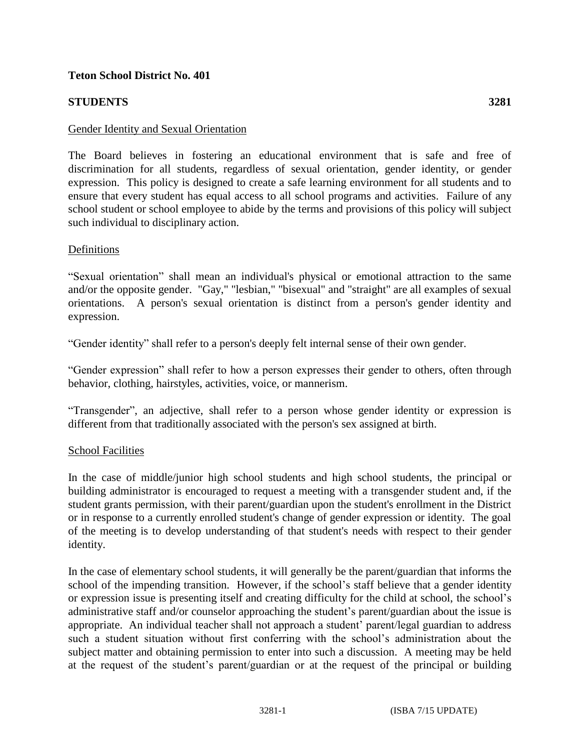### **Teton School District No. 401**

# **STUDENTS 3281**

The Board believes in fostering an educational environment that is safe and free of discrimination for all students, regardless of sexual orientation, gender identity, or gender expression. This policy is designed to create a safe learning environment for all students and to ensure that every student has equal access to all school programs and activities. Failure of any school student or school employee to abide by the terms and provisions of this policy will subject such individual to disciplinary action.

## Definitions

"Sexual orientation" shall mean an individual's physical or emotional attraction to the same and/or the opposite gender. "Gay," "lesbian," "bisexual" and "straight" are all examples of sexual orientations. A person's sexual orientation is distinct from a person's gender identity and expression.

"Gender identity" shall refer to a person's deeply felt internal sense of their own gender.

"Gender expression" shall refer to how a person expresses their gender to others, often through behavior, clothing, hairstyles, activities, voice, or mannerism.

"Transgender", an adjective, shall refer to a person whose gender identity or expression is different from that traditionally associated with the person's sex assigned at birth.

### School Facilities

In the case of middle/junior high school students and high school students, the principal or building administrator is encouraged to request a meeting with a transgender student and, if the student grants permission, with their parent/guardian upon the student's enrollment in the District or in response to a currently enrolled student's change of gender expression or identity. The goal of the meeting is to develop understanding of that student's needs with respect to their gender identity.

In the case of elementary school students, it will generally be the parent/guardian that informs the school of the impending transition. However, if the school's staff believe that a gender identity or expression issue is presenting itself and creating difficulty for the child at school, the school's administrative staff and/or counselor approaching the student's parent/guardian about the issue is appropriate. An individual teacher shall not approach a student' parent/legal guardian to address such a student situation without first conferring with the school's administration about the subject matter and obtaining permission to enter into such a discussion. A meeting may be held at the request of the student's parent/guardian or at the request of the principal or building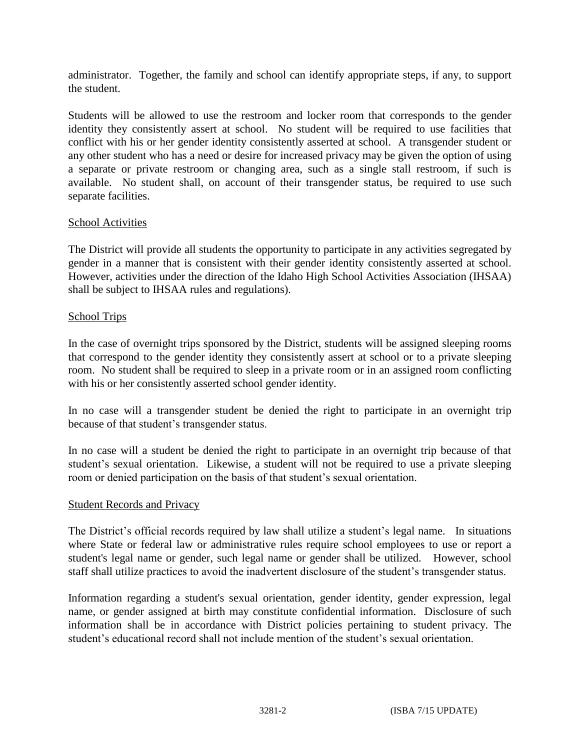administrator. Together, the family and school can identify appropriate steps, if any, to support the student.

Students will be allowed to use the restroom and locker room that corresponds to the gender identity they consistently assert at school. No student will be required to use facilities that conflict with his or her gender identity consistently asserted at school. A transgender student or any other student who has a need or desire for increased privacy may be given the option of using a separate or private restroom or changing area, such as a single stall restroom, if such is available. No student shall, on account of their transgender status, be required to use such separate facilities.

### School Activities

The District will provide all students the opportunity to participate in any activities segregated by gender in a manner that is consistent with their gender identity consistently asserted at school. However, activities under the direction of the Idaho High School Activities Association (IHSAA) shall be subject to IHSAA rules and regulations).

#### School Trips

In the case of overnight trips sponsored by the District, students will be assigned sleeping rooms that correspond to the gender identity they consistently assert at school or to a private sleeping room. No student shall be required to sleep in a private room or in an assigned room conflicting with his or her consistently asserted school gender identity.

In no case will a transgender student be denied the right to participate in an overnight trip because of that student's transgender status.

In no case will a student be denied the right to participate in an overnight trip because of that student's sexual orientation. Likewise, a student will not be required to use a private sleeping room or denied participation on the basis of that student's sexual orientation.

#### Student Records and Privacy

The District's official records required by law shall utilize a student's legal name. In situations where State or federal law or administrative rules require school employees to use or report a student's legal name or gender, such legal name or gender shall be utilized. However, school staff shall utilize practices to avoid the inadvertent disclosure of the student's transgender status.

Information regarding a student's sexual orientation, gender identity, gender expression, legal name, or gender assigned at birth may constitute confidential information. Disclosure of such information shall be in accordance with District policies pertaining to student privacy. The student's educational record shall not include mention of the student's sexual orientation.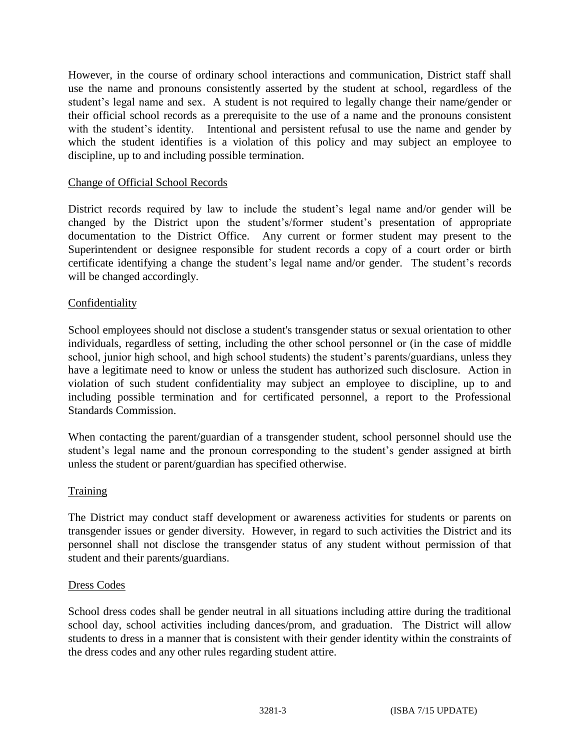However, in the course of ordinary school interactions and communication, District staff shall use the name and pronouns consistently asserted by the student at school, regardless of the student's legal name and sex. A student is not required to legally change their name/gender or their official school records as a prerequisite to the use of a name and the pronouns consistent with the student's identity. Intentional and persistent refusal to use the name and gender by which the student identifies is a violation of this policy and may subject an employee to discipline, up to and including possible termination.

# Change of Official School Records

District records required by law to include the student's legal name and/or gender will be changed by the District upon the student's/former student's presentation of appropriate documentation to the District Office. Any current or former student may present to the Superintendent or designee responsible for student records a copy of a court order or birth certificate identifying a change the student's legal name and/or gender. The student's records will be changed accordingly.

### Confidentiality

School employees should not disclose a student's transgender status or sexual orientation to other individuals, regardless of setting, including the other school personnel or (in the case of middle school, junior high school, and high school students) the student's parents/guardians, unless they have a legitimate need to know or unless the student has authorized such disclosure. Action in violation of such student confidentiality may subject an employee to discipline, up to and including possible termination and for certificated personnel, a report to the Professional Standards Commission.

When contacting the parent/guardian of a transgender student, school personnel should use the student's legal name and the pronoun corresponding to the student's gender assigned at birth unless the student or parent/guardian has specified otherwise.

### Training

The District may conduct staff development or awareness activities for students or parents on transgender issues or gender diversity. However, in regard to such activities the District and its personnel shall not disclose the transgender status of any student without permission of that student and their parents/guardians.

### Dress Codes

School dress codes shall be gender neutral in all situations including attire during the traditional school day, school activities including dances/prom, and graduation. The District will allow students to dress in a manner that is consistent with their gender identity within the constraints of the dress codes and any other rules regarding student attire.